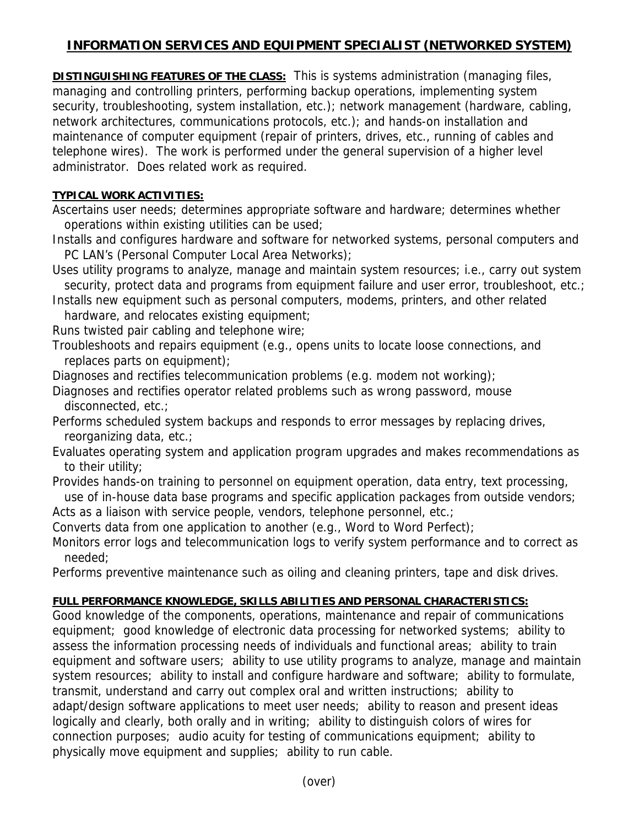## **INFORMATION SERVICES AND EQUIPMENT SPECIALIST (NETWORKED SYSTEM)**

**DISTINGUISHING FEATURES OF THE CLASS:** This is systems administration (managing files, managing and controlling printers, performing backup operations, implementing system security, troubleshooting, system installation, etc.); network management (hardware, cabling, network architectures, communications protocols, etc.); and hands-on installation and maintenance of computer equipment (repair of printers, drives, etc., running of cables and telephone wires). The work is performed under the general supervision of a higher level administrator. Does related work as required.

## **TYPICAL WORK ACTIVITIES:**

Ascertains user needs; determines appropriate software and hardware; determines whether operations within existing utilities can be used;

Installs and configures hardware and software for networked systems, personal computers and PC LAN's (Personal Computer Local Area Networks);

Uses utility programs to analyze, manage and maintain system resources; i.e., carry out system security, protect data and programs from equipment failure and user error, troubleshoot, etc.;

Installs new equipment such as personal computers, modems, printers, and other related hardware, and relocates existing equipment;

Runs twisted pair cabling and telephone wire;

Troubleshoots and repairs equipment (e.g., opens units to locate loose connections, and replaces parts on equipment);

Diagnoses and rectifies telecommunication problems (e.g. modem not working);

Diagnoses and rectifies operator related problems such as wrong password, mouse disconnected, etc.;

Performs scheduled system backups and responds to error messages by replacing drives, reorganizing data, etc.;

Evaluates operating system and application program upgrades and makes recommendations as to their utility;

Provides hands-on training to personnel on equipment operation, data entry, text processing, use of in-house data base programs and specific application packages from outside vendors;

Acts as a liaison with service people, vendors, telephone personnel, etc.;

Converts data from one application to another (e.g., Word to Word Perfect);

Monitors error logs and telecommunication logs to verify system performance and to correct as needed;

Performs preventive maintenance such as oiling and cleaning printers, tape and disk drives.

## **FULL PERFORMANCE KNOWLEDGE, SKILLS ABILITIES AND PERSONAL CHARACTERISTICS:**

Good knowledge of the components, operations, maintenance and repair of communications equipment; good knowledge of electronic data processing for networked systems; ability to assess the information processing needs of individuals and functional areas; ability to train equipment and software users; ability to use utility programs to analyze, manage and maintain system resources; ability to install and configure hardware and software; ability to formulate, transmit, understand and carry out complex oral and written instructions; ability to adapt/design software applications to meet user needs; ability to reason and present ideas logically and clearly, both orally and in writing; ability to distinguish colors of wires for connection purposes; audio acuity for testing of communications equipment; ability to physically move equipment and supplies; ability to run cable.